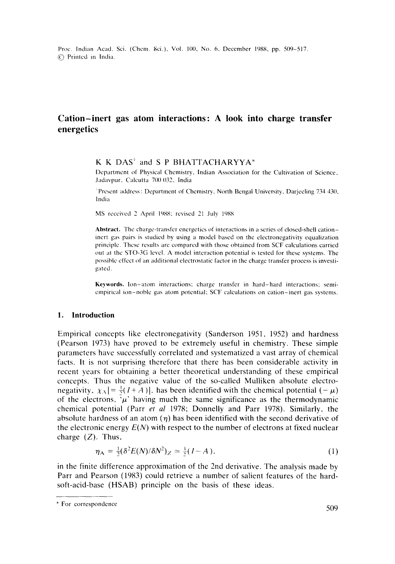Proc. Indian Acad. Sci. (Chem. Sci.), Vol. 100, No. 6, December 1988, pp. 509-517. (~ Printed in India.

# **Cation-inert gas atom interactions: A look into charge transfer energetics**

K K DAS" and S P BHATTACHARYYA\*

Department of Physical Chemistry, Indian Association for the Cultivation of Science, Jadavpur, Calcutta 700 032, India

<sup>\*</sup>Present address: Department of Chemistry, North Bengal University, Darjeeling 734 430, India

MS received 2 April 1988: revised 21 July 1988

**Abstract.** The charge-transfer energetics of interactions in a series of closed-shell cationinert gas pairs is studied by using a model based on the electronegativity equalization principle. These results arc compared with those obtained from SCF calculations carried out at the STO-3G level. A model interaction potential is tested for these systems. The possible effect of an additional electrostatic factor in the charge transfer process is investigated.

Keywords. Ion-atom interactions: charge transfer in hard-hard interactions; semiempirical ion-noble gas atom potential: SCF calculations on cation-inert gas systems.

### **1. Introduction**

Empirical concepts like electronegativity (Sanderson 1951, 1952) and hardness (Pearson 1973) have proved to be extremely useful in chemistry. These simple parameters have successfully correlated and systematized a vast array of chemical facts. It is not surprising therefore that there has been considerable activity in recent years for obtaining a better theoretical understanding of these empirical concepts. Thus the negative value of the so-called Mulliken absolute electronegativity,  $\chi_{\Lambda}$  [=  $\frac{1}{2}(I + A)$ ], has been identified with the chemical potential (-  $\mu$ ) of the electrons,  $\mu$  having much the same significance as the thermodynamic chemical potential (Parr *et al* 1978; Donnelly and Parr 1978). Similarly, the absolute hardness of an atom  $(\eta)$  has been identified with the second derivative of the electronic energy  $E(N)$  with respect to the number of electrons at fixed nuclear charge  $(Z)$ . Thus,

$$
\eta_A = \frac{1}{2} (\delta^2 E(N)/\delta N^2)_Z \approx \frac{1}{2} (I - A). \tag{1}
$$

in the finite difference approximation of the 2nd derivative. The analysis made by Parr and Pearson (1983) could retrieve a number of salient features of the hardsoft-acid-base (HSAB) principle on the basis of these ideas.

<sup>\*</sup> For correspondence 509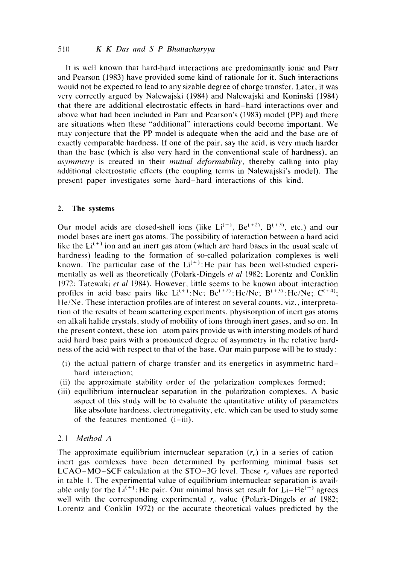It is well known that hard-hard interactions are predominantly ionic and Parr and Pearson (1983) have provided some kind of rationale for it. Such interactions would not be expected to lead to any sizable degree of charge transfer. Later, it was very correctly argued by Nalewajski (1984) and Nalewajski and Koninski (1984) that there are additional electrostatic effects in hard-hard interactions over and above what had been included in Parr and Pearson's (1983) model (PP) and there are situations when these "additional" interactions could become important. We may conjecture that the PP model is adequate when the acid and the base are of exactly comparable hardness. If one of the pair, say the acid, is very much harder than the base (which is also very hard in the conventional scale of hardness), an *asymrnetrv* is created in their *mutual deformability,* thereby calling into play additional electrostatic effects (the coupling terms in Nalewajski's model). The present paper investigates some hard-hard interactions of this kind.

# 2. The **systems**

Our model acids are closed-shell ions (like  $Li^{(+)}$ ,  $Be^{(+2)}$ ,  $B^{(+3)}$ , etc.) and our model bases are inert gas atoms. The possibility of interaction between a hard acid like the  $Li^{(+)}$  ion and an inert gas atom (which are hard bases in the usual scale of hardness) leading to the formation of so-called polarization complexes is well known. The particular case of the  $Li^{(+)}$ : He pair has been well-studied experimentally as well as theoretically (Polark-Dingels *et al* 1982: Lorentz and Conklin 1972; Tatewaki *et al* 1984). However, little seems to be known about interaction profiles in acid base pairs like  $Li^{(+)}$ : Ne; Be<sup>(+2)</sup>: He/Ne; B<sup>(+3)</sup>: He/Ne; C<sup>(+4)</sup>; He/Ne. These interaction profiles are of interest on several counts, viz., interpretation of the results of beam scattering experiments, physisorption of inert gas atoms on alkali halide crystals, study of mobility of ions through inert gases, and so on. In the present context, these ion-atom pairs provide us with intersting models of hard acid hard base pairs with a pronounced degree of asymmetry in the relative hardness of the acid with respect to that of the base. Our main purpose will be to study :

- (i) the actual pattern of charge transfer and its energetics in asymmetric hardhard interaction;
- (ii) the approximate stability order of the polarization complexes formed;
- (iii) equilibrium internuclear separation in the polarization complexes. A basic aspect of this study will be to evaluate the quantitative utility of parameters like absolute hardness, electronegativity, etc. which can be used to study some of the features mentioned **(i-iii).**

# *2.1 Method A*

The approximate equilibrium internuclear separation  $(r_e)$  in a series of cationinert gas comlexes have been determined by performing minimal basis set LCAO-MO-SCF calculation at the STO-3G level. These  $r_e$  values are reported in table 1. The experimental value of equilibrium internuclear separation is available only for the  $Li^{(+)}$ : He pair. Our minimal basis set result for  $Li-He^{(+)}$  agrees well with the corresponding experimental  $r_c$  value (Polark-Dingels *et al* 1982; Lorentz and Conklin 1972) or the accurate theoretical values predicted by the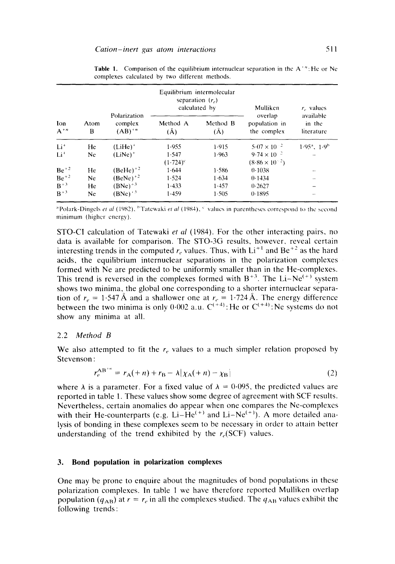|                   |           | Polarization          |                      | Equilibrium intermolecular<br>separation $(re)$<br>calculated by | Mulliken                                         | $re$ values                       |
|-------------------|-----------|-----------------------|----------------------|------------------------------------------------------------------|--------------------------------------------------|-----------------------------------|
| Ion<br>$A^{+n}$   | Atom<br>В | complex<br>$(AB)^{n}$ | Method A<br>$(\AA)$  | Method B<br>(Ă)                                                  | overlap<br>population in<br>the complex          | available<br>in the<br>literature |
| $Li+$             | He        | $(LiHe)^+$            | 1.955                | 1.915                                                            | $5.07 \times 10^{-2}$                            | $1.95^{\circ}$ , $1.9^{\circ}$    |
| $Li+$             | Ne.       | $(LiNe)^+$            | 1.547<br>$(1.724)^c$ | 1.963                                                            | $9.74 \times 10^{-2}$<br>$(8.86 \times 10^{-2})$ |                                   |
| $Be^{+2}$         | He        | $(BeHe)+2$            | 1.644                | 1.586                                                            | 0.1038                                           |                                   |
| $Be^{+2}$         | Ne.       | $(BeNe)^{+2}$         | 1.524                | 1.634                                                            | 0.1434                                           |                                   |
| $B+3$             | He        | $(BNe)^{+3}$          | 1.433                | 1.457                                                            | 0.2627                                           |                                   |
| $\mathbf{B}^{+3}$ | Ne.       | $(BNe)^{+3}$          | 1.459                | 1 505                                                            | 0.1895                                           |                                   |

**Table 1.** Comparison of the equilibrium internuclear separation in the  $A^{\dagger}$ <sup>n</sup>: He or Ne complexes calculated by two different methods.

<sup>a</sup> Polark-Dingels *et al* (1982), <sup>b</sup> Tatewaki *et al* (1984), <sup>c</sup> values in parentheses correspond to the second minimum (higher energy).

STO-CI calculation of Tatewaki *et al* (1984). For the other interacting pairs, no data is available for comparison. The STO-3G results, however, reveal certain interesting trends in the computed  $r_e$  values. Thus, with  $Li^{+1}$  and  $Be^{+2}$  as the hard acids, the equilibrium internuclear separations in the polarization complexes formed with Ne are predicted to be uniformly smaller than in the He-complexes. This trend is reversed in the complexes formed with  $B^{+3}$ . The Li-Ne<sup>(+)</sup> system shows two minima, the global one corresponding to a shorter internuclear separation of  $r_e = 1.547 \text{ A}$  and a shallower one at  $r_e = 1.724 \text{ A}$ . The energy difference between the two minima is only  $0.002$  a.u.  $C^{(+)}$ : He or  $C^{(+)}$ : Ne systems do not show any minima at all.

## 2.2 *Method B*

We also attempted to fit the  $r_e$  values to a much simpler relation proposed by Stevenson :

$$
r_e^{AB^{+n}} = r_A(+n) + r_B - \lambda |\chi_A(+n) - \chi_B|
$$
 (2)

where  $\lambda$  is a parameter. For a fixed value of  $\lambda = 0.095$ , the predicted values are reported in table 1. These values show some degree of agreement with SCF results. Nevertheless, certain anomalies do appear when one compares the Ne-complexes with their He-counterparts (e.g. Li-He<sup> $(+)$ </sup> and Li-Ne<sup> $(+)$ </sup>). A more detailed analysis of bonding in these complexes seem to be necessary in order to attain better understanding of the trend exhibited by the  $r_e(SCF)$  values.

## **3. Bond population in polarization complexes**

One may be prone to enquire about the magnitudes of bond populations in these polarization complexes. In table 1 we have therefore reported Mulliken overlap population ( $q_{AB}$ ) at  $r = r_e$  in all the complexes studied. The  $q_{AB}$  values exhibit the following trends :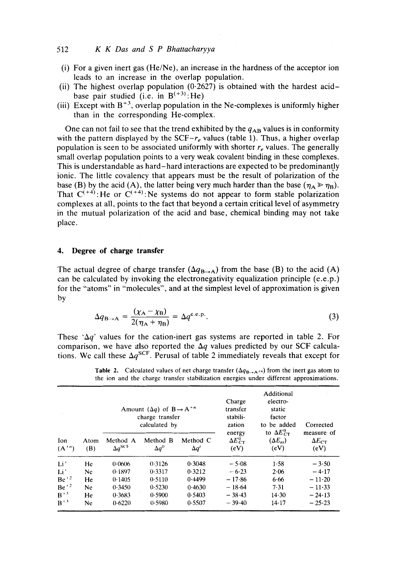# 512 *K K Das and S P Bhattacharyya*

- (i) For a given inert gas (He/Ne), an increase in the hardness of the acceptor ion leads to an increase in the overlap population.
- (ii) The highest overlap population  $(0.2627)$  is obtained with the hardest acidbase pair studied (i.e. in  $B^{(+3)}$ : He)
- (iii) Except with  $B^{+3}$ , overlap population in the Ne-complexes is uniformly higher than in the corresponding He-complex.

One can not fail to see that the trend exhibited by the  $q_{AB}$  values is in conformity with the pattern displayed by the SCF- $r_e$  values (table 1). Thus, a higher overlap population is seen to be associated uniformly with shorter  $r_e$  values. The generally small overlap population points to a very weak covalent binding in these complexes. This is understandable as hard-hard interactions are expected to be predominantly ionic. The little covalency that appears must be the result of polarization of the base (B) by the acid (A), the latter being very much harder than the base  $(\eta_A \gg \eta_B)$ . That  $C^{(+4)}$ : He or  $C^{(+4)}$ : Ne systems do not appear to form stable polarization complexes at all, points to the fact that beyond a certain critical level of asymmetry in the mutual polarization of the acid and base, chemical binding may not take place.

# **4. Degree of charge transfer**

The actual degree of charge transfer  $(\Delta q_{\text{B}\rightarrow \text{A}})$  from the base (B) to the acid (A) can be calculated by invoking the electronegativity equalization principle  $(e.e.p.)$ for the "atoms" in "molecules", and at the simplest level of approximation is given by

$$
\Delta q_{\text{B}\rightarrow\text{A}} = \frac{(\chi_{\text{A}} - \chi_{\text{B}})}{2(\eta_{\text{A}} + \eta_{\text{B}})} = \Delta q^{\text{c.e.p.}}.
$$
\n(3)

These ' $\Delta q$ ' values for the cation-inert gas systems are reported in table 2. For comparison, we have also reported the  $\Delta q$  values predicted by our SCF calculations. We call these  $\Delta q^{\text{SCF}}$ . Perusal of table 2 immediately reveals that except for

|                          |             | Amount $(\Delta q)$ of $B \rightarrow A^{+n}$<br>charge transfer<br>calculated by |                          |                         | Charge<br>transfer<br>stabili-<br>zation | Additional<br>electro-<br>static<br>factor<br>to be added | Corrected                             |
|--------------------------|-------------|-----------------------------------------------------------------------------------|--------------------------|-------------------------|------------------------------------------|-----------------------------------------------------------|---------------------------------------|
| <b>Ion</b><br>$(A^{+n})$ | Atom<br>(B) | Method A<br>$\Delta q^{\rm{SCF}}$                                                 | Method B<br>$\Delta q^0$ | Method C<br>$\Delta q'$ | energy<br>$\Delta E_{CT}^0$<br>(eV)      | to $\Delta E_{CT}^0$<br>$(\Delta E_{es})$<br>(eV)         | measure of<br>$\Delta E_{CT}$<br>(eV) |
| Li'                      | He          | 0.0606                                                                            | 0.3126                   | 0.3048                  | $-5.08$                                  | 1.58                                                      | $-3.50$                               |
| Li*                      | Ne          | 0.1897                                                                            | 0.3317                   | 0.3212                  | $-6.23$                                  | 2.06                                                      | $-4.17$                               |
| $Be^{+2}$                | He          | 0.1405                                                                            | 0.5110                   | 0.4499                  | $-17.86$                                 | 6.66                                                      | $-11-20$                              |
| $Be^{+2}$                | Ne          | 0.3450                                                                            | 0.5230                   | 0.4630                  | $-18.64$                                 | 7.31                                                      | $-11-33$                              |
| $B + 3$                  | He          | 0.3683                                                                            | 0.5900                   | 0.5403                  | $-38.43$                                 | 14.30                                                     | $-24-13$                              |
| $B^{+3}$                 | Ne          | 0.6220                                                                            | 0.5980                   | 0.5507                  | $-39.40$                                 | 14.17                                                     | $-25-23$                              |

**Table 2.** Calculated values of net charge transfer  $(\Delta q_{\text{B}\rightarrow \text{A}^{+n}})$  from the inert gas atom to the ion and the charge transfer stabilization energies under different approximations.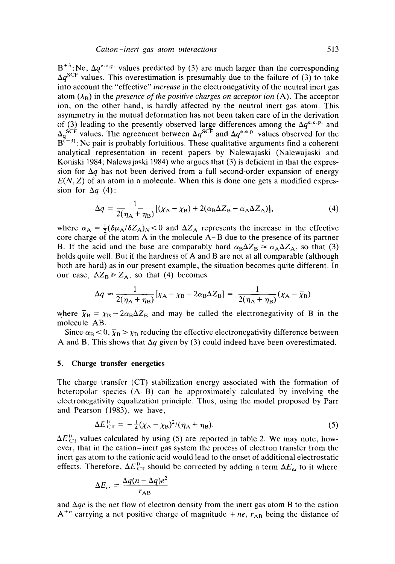$B^{+3}$ : Ne,  $\Delta q^{e,c,p}$  values predicted by (3) are much larger than the corresponding  $\Delta q^{\rm SCF}$  values. This overestimation is presumably due to the failure of (3) to take into account the "effective" *increase* in the electronegativity of the neutral inert gas atom  $(\lambda_B)$  in the *presence of the positive charges on acceptor ion*  $(A)$ . The acceptor ion, on the other hand, is hardly affected by the neutral inert gas atom. This asymmetry in the mutual deformation has not been taken care of in the derivation of (3) leading to the presently observed large differences among the  $\Delta q^{\text{e.c.p.}}$  and  $\Delta_{q}^{\text{SCF}}$  values. The agreement between  $\Delta q^{\text{SCF}}$  and  $\Delta q^{\text{e.e.p.}}$  values observed for the  $B^{(+3)}$ : Ne pair is probably fortuitious. These qualitative arguments find a coherent analytical representation in recent papers by Nalewajaski (Nalewajaski and Koniski 1984; Nalewajaski 1984) who argues that (3) is deficient in that the expression for  $\Delta q$  has not been derived from a full second-order expansion of energy  $E(N, Z)$  of an atom in a molecule. When this is done one gets a modified expression for  $\Delta a$  (4):

$$
\Delta q = \frac{1}{2(\eta_A + \eta_B)} [( \chi_A - \chi_B) + 2(\alpha_B \Delta Z_B - \alpha_A \Delta Z_A) ],
$$
 (4)

where  $\alpha_A = \frac{1}{2}(\delta \mu_A/\delta Z_A)_N < 0$  and  $\Delta Z_A$  represents the increase in the effective core charge of the atom A in the molecule A-B due to the presence of its partner B. If the acid and the base are comparably hard  $\alpha_B \Delta Z_B \approx \alpha_A \Delta Z_A$ , so that (3) holds quite well. But if the hardness of A and B are not at all comparable (although both are hard) as in our present example, the situation becomes quite different. In our case,  $\Delta Z_{\rm B} \ge Z_{\rm A}$ , so that (4) becomes

$$
\Delta q \approx \frac{1}{2(\eta_A + \eta_B)} [\chi_A - \chi_B + 2\alpha_B \Delta Z_B] = \frac{1}{2(\eta_A + \eta_B)} (\chi_A - \bar{\chi}_B)
$$

where  $\bar{\chi}_B = \chi_B - 2\alpha_B \Delta Z_B$  and may be called the electronegativity of B in the molecule AB.

Since  $\alpha_B < 0$ ,  $\bar{\chi}_B > \chi_B$  reducing the effective electronegativity difference between A and B. This shows that  $\Delta q$  given by (3) could indeed have been overestimated.

# **5. Charge transfer energetics**

The charge transfer (CT) stabilization energy associated with the formation of heteropolar species (A-B) can be approximately calculated by involving the electronegativity equalization principle. Thus, using the model proposed by Parr and Pearson (1983), we have,

$$
\Delta E_{\rm CT}^0 = -\frac{1}{4}(\chi_{\rm A} - \chi_{\rm B})^2 / (\eta_{\rm A} + \eta_{\rm B}). \tag{5}
$$

 $\Delta E_{\text{CT}}^0$  values calculated by using (5) are reported in table 2. We may note, however, that in the cation-inert gas system the process of electron transfer from the inert gas atom to the cationic acid would lead to the onset of additional electrostatic effects. Therefore,  $\Delta E_{\text{CT}}^{0}$  should be corrected by adding a term  $\Delta E_{ex}$  to it where

$$
\Delta E_{es} = \frac{\Delta q (n - \Delta q) e^2}{r_{AB}}
$$

and  $\Delta qe$  is the net flow of electron density from the inert gas atom B to the cation  $A^{+n}$  carrying a net positive charge of magnitude  $+ne$ ,  $r_{AB}$  being the distance of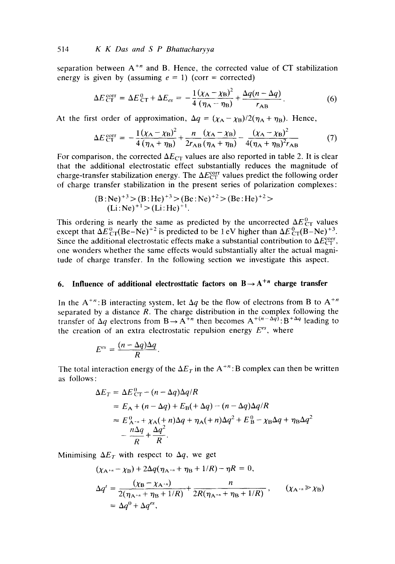separation between  $A^{+n}$  and B. Hence, the corrected value of CT stabilization energy is given by (assuming  $e = 1$ ) (corr = corrected)

$$
\Delta E_{\text{CT}}^{\text{corr}} = \Delta E_{\text{CT}}^0 + \Delta E_{\text{es}} = -\frac{1(\chi_{\text{A}} - \chi_{\text{B}})^2}{4(\eta_{\text{A}} - \eta_{\text{B}})} + \frac{\Delta q(n - \Delta q)}{r_{\text{AB}}}.
$$
(6)

At the first order of approximation,  $\Delta q = (\chi_A - \chi_B)/2(\eta_A + \eta_B)$ . Hence,

$$
\Delta E_{\rm CT}^{\rm corr} = -\frac{1(\chi_{\rm A} - \chi_{\rm B})^2}{4(\eta_{\rm A} + \eta_{\rm B})} + \frac{n}{2r_{\rm AB}(\eta_{\rm A} + \eta_{\rm B})} - \frac{(\chi_{\rm A} - \chi_{\rm B})^2}{4(\eta_{\rm A} + \eta_{\rm B})^2 r_{\rm AB}}
$$
(7)

For comparison, the corrected  $\Delta E_{CT}$  values are also reported in table 2. It is clear that the additional electrostatic effect substantially reduces the magnitude of charge-transfer stabilization energy. The  $\Delta E_{\text{CT}}^{\text{corr}}$  values predict the following order of charge transfer stabilization in the present series of polarization complexes:

$$
(B:Ne)^{+3} > (B:He)^{+3} > (Be:Ne)^{+2} > (Be:He)^{+2} > (Li:Ne)^{+1} > (Li:He)^{+1}.
$$

This ordering is nearly the same as predicted by the uncorrected  $\Delta E_{\text{CT}}^{\text{o}}$  values except that  $\Delta E_{\text{CT}}^{\text{P}}(Be-Ne)^{+2}$  is predicted to be 1 eV higher than  $\Delta E_{\text{CT}}^{\text{P}}(B-Ne)^{+3}$ . Since the additional electrostatic effects make a substantial contribution to  $\Delta E_{\text{CT}}^{\text{corr}}$ , one wonders whether the same effects would substantially alter the actual magnitude of charge transfer. In the following section we investigate this aspect.

# **6. Influence of additional electrosttatic factors on**  $B \rightarrow A^{+n}$  **charge transfer**

In the A<sup>+n</sup>: B interacting system, let  $\Delta q$  be the flow of electrons from B to A<sup>+n</sup> separated by a distance R. The charge distribution in the complex following the transfer of  $\Delta q$  electrons from  $B \rightarrow A^{+n}$  then becomes  $A^{+(n-\Delta q)}$ :  $B^{+\Delta q}$  leading to the creation of an extra electrostatic repulsion energy  $E^{es}$ , where

$$
E^{es} = \frac{(n - \Delta q)\Delta q}{R}.
$$

The total interaction energy of the  $\Delta E_T$  in the  $A^{+n}$ : B complex can then be written as follows :

$$
\Delta E_T = \Delta E_{CT}^0 - (n - \Delta q)\Delta q/R
$$
  
=  $E_A + (n - \Delta q) + E_B(+\Delta q) - (n - \Delta q)\Delta q/R$   

$$
\approx E_{A^{-n}}^0 + \chi_A(+n)\Delta q + \eta_A(+n)\Delta q^2 + E_B^0 - \chi_B\Delta q + \eta_B\Delta q^2
$$
  

$$
- \frac{n\Delta q}{R} + \frac{\Delta q^2}{R}.
$$

Minimising  $\Delta E_T$  with respect to  $\Delta q$ , we get

$$
(\chi_{A^{+n}} - \chi_B) + 2\Delta q(\eta_{A^{+n}} + \eta_B + 1/R) - \eta R = 0,
$$
  
\n
$$
\Delta q' = \frac{(\chi_B - \chi_{A^{+n}})}{2(\eta_{A^{+n}} + \eta_B + 1/R)} + \frac{n}{2R(\eta_{A^{+n}} + \eta_B + 1/R)}, \qquad (\chi_{A^{+n}} \gg \chi_B)
$$
  
\n
$$
= \Delta q^0 + \Delta q^{e^s},
$$
 (11)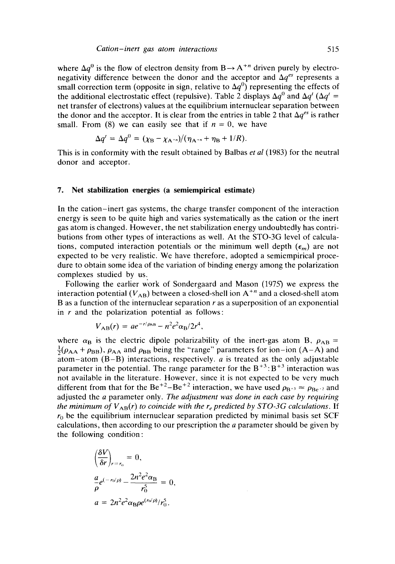where  $\Delta q^0$  is the flow of electron density from B $\rightarrow$  A<sup>+n</sup> driven purely by electronegativity difference between the donor and the acceptor and  $\Delta q^{es}$  represents a small correction term (opposite in sign, relative to  $\Delta q^0$ ) representing the effects of the additional electrostatic effect (repulsive). Table 2 displays  $\Delta q^0$  and  $\Delta q^t$  ( $\Delta q^t$  = net transfer of electrons) values at the equilibrium internuclear separation between the donor and the acceptor. It is clear from the entries in table 2 that  $\Delta q^{es}$  is rather small. From (8) we can easily see that if  $n = 0$ , we have

$$
\Delta q' = \Delta q^{0} = (\chi_{\rm B} - \chi_{\rm A^{+n}})/(\eta_{\rm A^{+n}} + \eta_{\rm B} + 1/R).
$$

This is in conformity with the result obtained by Balbas *et al* (1983) for the neutral donor and acceptor.

#### **7. Net stabilization energies (a semiempirical estimate)**

In the cation-inert gas systems, the charge transfer component of the interaction energy is seen to be quite high and varies systematically as the cation or the inert gas atom is changed. However, the net stabilization energy undoubtedly has contributions from other types of interactions as well. At the STO-3G level of calculations, computed interaction potentials or the minimum well depth  $(\epsilon_m)$  are not expected to be very realistic. We have therefore, adopted a semiempirical procedure to obtain some idea of the variation of binding energy among the polarization complexes studied by us.

Following the earlier work of Sondergaard and Mason (1975) we express the interaction potential  $(V_{AB})$  between a closed-shell ion  $A^{+n}$  and a closed-shell atom B as a function of the internuclear separation r as a superposition of an exponential in  $r$  and the polarization potential as follows:

$$
V_{AB}(r) = ae^{-r/\rho_{AB}} - n^2e^2\alpha_B/2r^4,
$$

where  $\alpha_B$  is the electric dipole polarizability of the inert-gas atom B,  $\rho_{AB}$  =  $\frac{1}{2}(\rho_{AA} + \rho_{BB})$ ,  $\rho_{AA}$  and  $\rho_{BB}$  being the "range" parameters for ion-ion (A-A) and atom-atom  $(B-B)$  interactions, respectively, *a* is treated as the only adjustable parameter in the potential. The range parameter for the  $B^{+3}:B^{+3}$  interaction was not available in the literature. However, since it is not expected to be very much different from that for the Be<sup>+2</sup>-Be<sup>+2</sup> interaction, we have used  $\rho_{B^{+3}} \approx \rho_{Be^{-2}}$  and adjusted the a parameter only. *The adjustment was done in each case by requiring the minimum of*  $V_{AB}(r)$  *to coincide with the r<sub>e</sub> predicted by STO-3G calculations.* If  $r_0$  be the equilibrium internuclear separation predicted by minimal basis set SCF calculations, then according to our prescription the a parameter should be given by the following condition:

$$
\left(\frac{\delta V}{\delta r}\right)_{r=r_0} = 0,
$$
  
\n
$$
\frac{a}{\rho}e^{(-r_0/\rho)} - \frac{2n^2e^2\alpha_B}{r_0^5} = 0,
$$
  
\n
$$
a = 2n^2e^2\alpha_B\rho e^{(r_0/\rho)}/r_0^5.
$$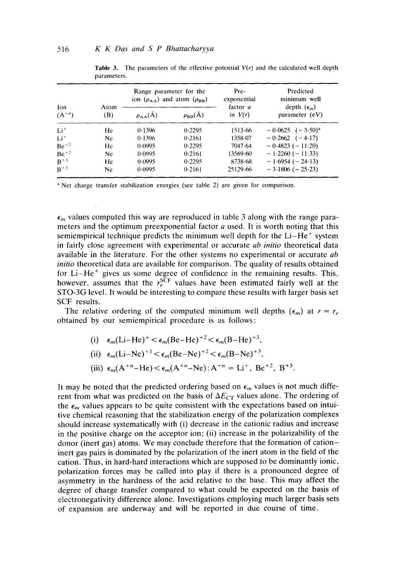| Ion<br>$(A^{+n})$ |             | Range parameter for the<br>ion $(\rho_{AA})$ and atom $(\rho_{BB})$ |                  | Pre-<br>exponential<br>factor <i>a</i> | Predicted<br>minimum well              |  |
|-------------------|-------------|---------------------------------------------------------------------|------------------|----------------------------------------|----------------------------------------|--|
|                   | Atom<br>(B) | $\rho_{AA}(\AA)$                                                    | $\rho_{BB}(\AA)$ | in $V(r)$                              | depth $(\epsilon_m)$<br>parameter (eV) |  |
| $Li+$             | He          | 0.1396                                                              | 0.2295           | 1513.66                                | $-0.0625$ $(-3.50)^{a}$                |  |
| $Li^+$            | Ne          | 0.1396                                                              | 0.2161           | 1358.07                                | $-0.2662$ $(-4.17)$                    |  |
| $Be^{+2}$         | He          | 0.0995                                                              | 0.2295           | 7047.64                                | $-0.4823(-11.20)$                      |  |
| $Be^{+2}$         | Ne          | 0.0995                                                              | 0.2161           | 13569-60                               | $-1.2260(-11.33)$                      |  |
| $B+3$             | He.         | 0.0995                                                              | 0.2295           | 8738.68                                | $-1.6954(-24.13)$                      |  |
| $\mathbf{B}^{+3}$ | Ne          | 0.0995                                                              | 0.2161           | 25129.66                               | $-3.1806$ ( $-25.23$ )                 |  |

**Table 3.** The parameters of the effective potential  $V(r)$  and the calculated well depth parameters.

<sup>a</sup> Net charge transfer stabilization energies (see table 2) are given for comparison.

 $\epsilon_m$  values computed this way are reproduced in table 3 along with the range parameters and the optimum preexponential factor  $a$  used. It is worth noting that this semiempirical technique predicts the minimum well depth for the  $Li-He^+$  system in fairly close agreement with experimental or accurate *ab initio* theoretical data available in the literature. For the other systems no experimental or accurate *ab initio* theoretical data are available for comparison. The quality of results obtained for  $Li-He^+$  gives us some degree of confidence in the remaining results. This, however, assumes that the  $r_e^{\text{SCF}}$  values have been estimated fairly well at the STO-3G level. It would be interesting to compare these results with larger basis set SCF results.

The relative ordering of the computed minimum well depths  $(\epsilon_m)$  at  $r = r_e$ obtained by our semiempirical procedure is as follows:

(i) 
$$
\epsilon_m(Li-He)^+ < \epsilon_m(Be-He)^+{}^2 < \epsilon_m(B-He)^+{}^3
$$
,  
(ii)  $\epsilon_m(Li-Ne)^+{}^1 < \epsilon_m(Be-Ne)^+{}^2 < \epsilon_m(B-Ne)^+{}^3$ ,

(iii) 
$$
\epsilon_m(A^{+n}-He) < \epsilon_m(A^{+n}-Ne)
$$
:  $A^{+n} = Li^+$ ,  $Be^{+2}$ ,  $B^{+3}$ .

It may be noted that the predicted ordering based on  $\epsilon_m$  values is not much different from what was predicted on the basis of  $\Delta E_{CT}$  values alone. The ordering of the  $\epsilon_m$  values appears to be quite consistent with the expectations based on intuitive chemical reasoning that the stabilization energy of the polarization complexes should increase systematically with (i) decrease in the cationic radius and increase in the positive charge on the acceptor ion; (ii) increase in the polarizability of the donor (inert gas) atoms. We may conclude therefore that the formation of cationinert gas pairs is dominated by the polarization of the inert atom in the field of the cation. Thus, in hard-hard interactions which are supposed to be dominantly ionic. polarization forces may be called into play if there is a pronounced degree of asymmetry in the hardness of the acid relative to the base. This may affect the degree of charge transfer compared to what could be expected on the basis of electronegativity difference alone. Investigations employing much larger basis sets of expansion are underway and will be reported in due course of time.